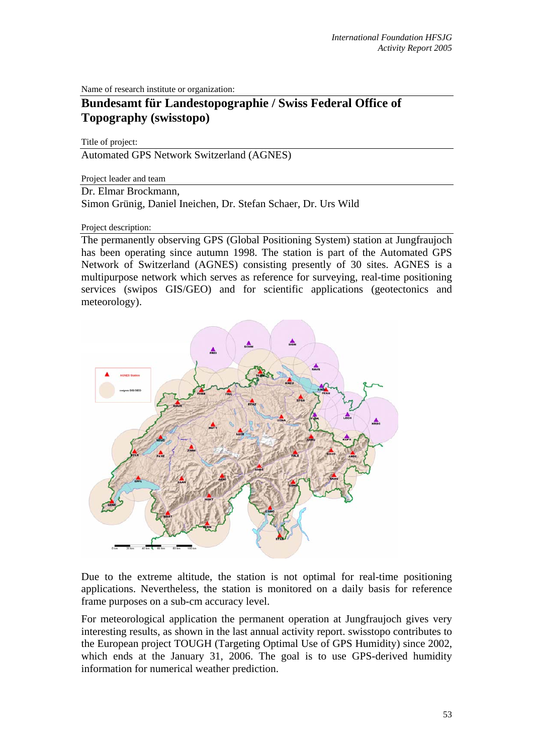Name of research institute or organization:

## **Bundesamt für Landestopographie / Swiss Federal Office of Topography (swisstopo)**

Title of project:

Automated GPS Network Switzerland (AGNES)

Project leader and team

Dr. Elmar Brockmann,

Simon Grünig, Daniel Ineichen, Dr. Stefan Schaer, Dr. Urs Wild

Project description:

The permanently observing GPS (Global Positioning System) station at Jungfraujoch has been operating since autumn 1998. The station is part of the Automated GPS Network of Switzerland (AGNES) consisting presently of 30 sites. AGNES is a multipurpose network which serves as reference for surveying, real-time positioning services (swipos GIS/GEO) and for scientific applications (geotectonics and meteorology).



Due to the extreme altitude, the station is not optimal for real-time positioning applications. Nevertheless, the station is monitored on a daily basis for reference frame purposes on a sub-cm accuracy level.

For meteorological application the permanent operation at Jungfraujoch gives very interesting results, as shown in the last annual activity report. swisstopo contributes to the European project TOUGH (Targeting Optimal Use of GPS Humidity) since 2002, which ends at the January 31, 2006. The goal is to use GPS-derived humidity information for numerical weather prediction.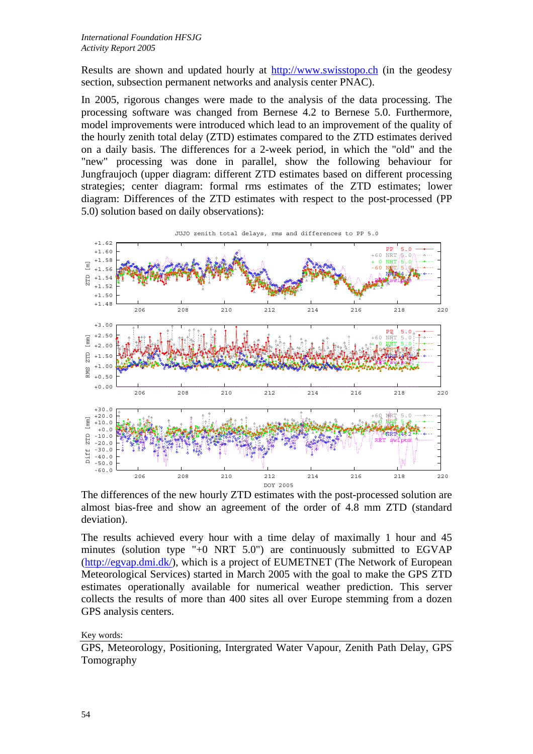Results are shown and updated hourly at http://www.swisstopo.ch (in the geodesy section, subsection permanent networks and analysis center PNAC).

In 2005, rigorous changes were made to the analysis of the data processing. The processing software was changed from Bernese 4.2 to Bernese 5.0. Furthermore, model improvements were introduced which lead to an improvement of the quality of the hourly zenith total delay (ZTD) estimates compared to the ZTD estimates derived on a daily basis. The differences for a 2-week period, in which the "old" and the "new" processing was done in parallel, show the following behaviour for Jungfraujoch (upper diagram: different ZTD estimates based on different processing strategies; center diagram: formal rms estimates of the ZTD estimates; lower diagram: Differences of the ZTD estimates with respect to the post-processed (PP 5.0) solution based on daily observations):



The differences of the new hourly ZTD estimates with the post-processed solution are almost bias-free and show an agreement of the order of 4.8 mm ZTD (standard deviation).

The results achieved every hour with a time delay of maximally 1 hour and 45 minutes (solution type "+0 NRT 5.0") are continuously submitted to EGVAP (http://egvap.dmi.dk/), which is a project of EUMETNET (The Network of European Meteorological Services) started in March 2005 with the goal to make the GPS ZTD estimates operationally available for numerical weather prediction. This server collects the results of more than 400 sites all over Europe stemming from a dozen GPS analysis centers.

Key words:

GPS, Meteorology, Positioning, Intergrated Water Vapour, Zenith Path Delay, GPS Tomography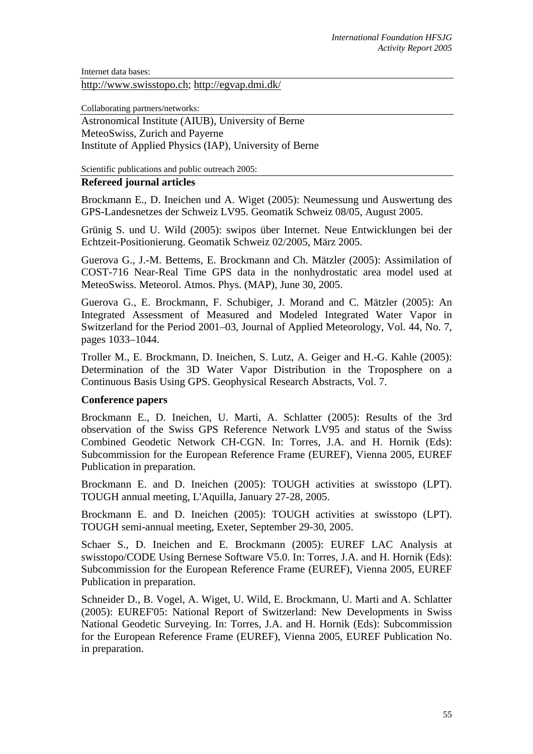Internet data bases:

http://www.swisstopo.ch; http://egvap.dmi.dk/

Collaborating partners/networks:

Astronomical Institute (AIUB), University of Berne MeteoSwiss, Zurich and Payerne Institute of Applied Physics (IAP), University of Berne

Scientific publications and public outreach 2005:

## **Refereed journal articles**

Brockmann E., D. Ineichen und A. Wiget (2005): Neumessung und Auswertung des GPS-Landesnetzes der Schweiz LV95. Geomatik Schweiz 08/05, August 2005.

Grünig S. und U. Wild (2005): swipos über Internet. Neue Entwicklungen bei der Echtzeit-Positionierung. Geomatik Schweiz 02/2005, März 2005.

Guerova G., J.-M. Bettems, E. Brockmann and Ch. Mätzler (2005): Assimilation of COST-716 Near-Real Time GPS data in the nonhydrostatic area model used at MeteoSwiss. Meteorol. Atmos. Phys. (MAP), June 30, 2005.

Guerova G., E. Brockmann, F. Schubiger, J. Morand and C. Mätzler (2005): An Integrated Assessment of Measured and Modeled Integrated Water Vapor in Switzerland for the Period 2001–03, Journal of Applied Meteorology, Vol. 44, No. 7, pages 1033–1044.

Troller M., E. Brockmann, D. Ineichen, S. Lutz, A. Geiger and H.-G. Kahle (2005): Determination of the 3D Water Vapor Distribution in the Troposphere on a Continuous Basis Using GPS. Geophysical Research Abstracts, Vol. 7.

## **Conference papers**

Brockmann E., D. Ineichen, U. Marti, A. Schlatter (2005): Results of the 3rd observation of the Swiss GPS Reference Network LV95 and status of the Swiss Combined Geodetic Network CH-CGN. In: Torres, J.A. and H. Hornik (Eds): Subcommission for the European Reference Frame (EUREF), Vienna 2005, EUREF Publication in preparation.

Brockmann E. and D. Ineichen (2005): TOUGH activities at swisstopo (LPT). TOUGH annual meeting, L'Aquilla, January 27-28, 2005.

Brockmann E. and D. Ineichen (2005): TOUGH activities at swisstopo (LPT). TOUGH semi-annual meeting, Exeter, September 29-30, 2005.

Schaer S., D. Ineichen and E. Brockmann (2005): EUREF LAC Analysis at swisstopo/CODE Using Bernese Software V5.0. In: Torres, J.A. and H. Hornik (Eds): Subcommission for the European Reference Frame (EUREF), Vienna 2005, EUREF Publication in preparation.

Schneider D., B. Vogel, A. Wiget, U. Wild, E. Brockmann, U. Marti and A. Schlatter (2005): EUREF'05: National Report of Switzerland: New Developments in Swiss National Geodetic Surveying. In: Torres, J.A. and H. Hornik (Eds): Subcommission for the European Reference Frame (EUREF), Vienna 2005, EUREF Publication No. in preparation.